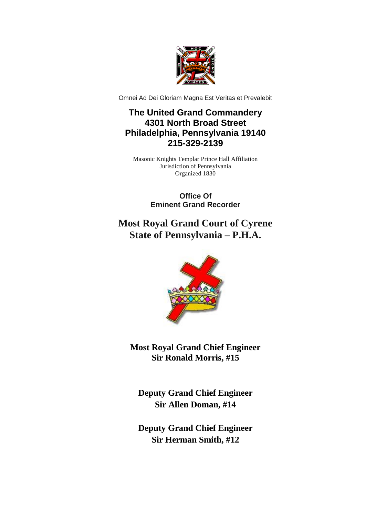

Omnei Ad Dei Gloriam Magna Est Veritas et Prevalebit

## **The United Grand Commandery 4301 North Broad Street Philadelphia, Pennsylvania 19140 215-329-2139**

Masonic Knights Templar Prince Hall Affiliation Jurisdiction of Pennsylvania Organized 1830

> **Office Of Eminent Grand Recorder**

## **Most Royal Grand Court of Cyrene State of Pennsylvania – P.H.A.**



**Most Royal Grand Chief Engineer Sir Ronald Morris, #15**

**Deputy Grand Chief Engineer Sir Allen Doman, #14**

**Deputy Grand Chief Engineer Sir Herman Smith, #12**